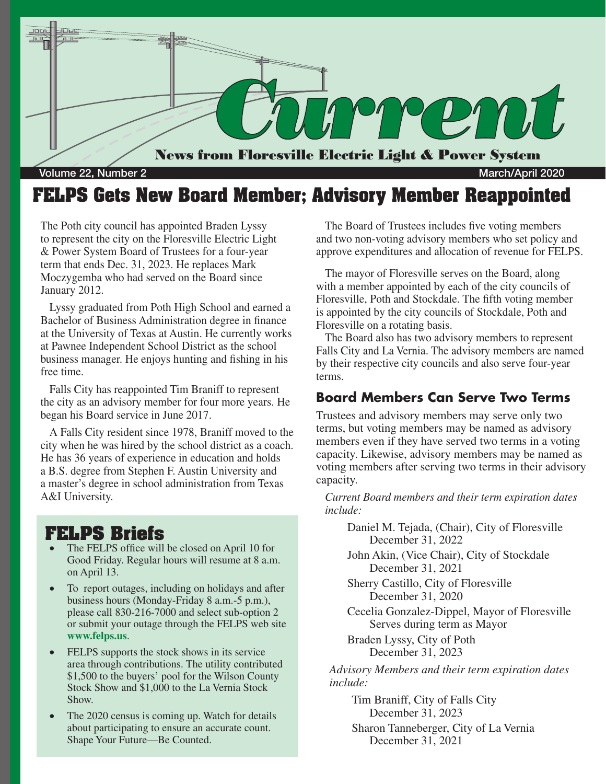

### **FELPS Gets New Board Member; Advisory Member Reappointed**

The Poth city council has appointed Braden Lyssy to represent the city on the Floresville Electric Light & Power System Board of Trustees for a four-year term that ends Dec. 31, 2023. He replaces Mark Moczygemba who had served on the Board since January 2012.

Lyssy graduated from Poth High School and earned a Bachelor of Business Administration degree in finance at the University of Texas at Austin. He currently works at Pawnee Independent School District as the school business manager. He enjoys hunting and fishing in his free time.

Falls City has reappointed Tim Braniff to represent the city as an advisory member for four more years. He began his Board service in June 2017.

A Falls City resident since 1978, Braniff moved to the city when he was hired by the school district as a coach. He has 36 years of experience in education and holds a B.S. degree from Stephen F. Austin University and a master's degree in school administration from Texas A&I University.

### **FELPS Briefs**

- The FELPS office will be closed on April 10 for Good Friday. Regular hours will resume at 8 a.m. on April 13.
- To report outages, including on holidays and after business hours (Monday-Friday 8 a.m.-5 p.m.), please call 830-216-7000 and select sub-option 2 or submit your outage through the FELPS web site **www.felps.us**.
- FELPS supports the stock shows in its service area through contributions. The utility contributed \$1,500 to the buyers' pool for the Wilson County Stock Show and \$1,000 to the La Vernia Stock Show.
- The 2020 census is coming up. Watch for details about participating to ensure an accurate count. Shape Your Future—Be Counted.

The Board of Trustees includes five voting members and two non-voting advisory members who set policy and approve expenditures and allocation of revenue for FELPS.

The mayor of Floresville serves on the Board, along with a member appointed by each of the city councils of Floresville, Poth and Stockdale. The fifth voting member is appointed by the city councils of Stockdale, Poth and Floresville on a rotating basis.

The Board also has two advisory members to represent Falls City and La Vernia. The advisory members are named by their respective city councils and also serve four-year terms.

### **Board Members Can Serve Two Terms**

Trustees and advisory members may serve only two terms, but voting members may be named as advisory members even if they have served two terms in a voting capacity. Likewise, advisory members may be named as voting members after serving two terms in their advisory capacity.

*Current Board members and their term expiration dates include:*

Daniel M. Tejada, (Chair), City of Floresville December 31, 2022

John Akin, (Vice Chair), City of Stockdale December 31, 2021

Sherry Castillo, City of Floresville December 31, 2020

Cecelia Gonzalez-Dippel, Mayor of Floresville Serves during term as Mayor

Braden Lyssy, City of Poth December 31, 2023

*Advisory Members and their term expiration dates include:*

Tim Braniff, City of Falls City December 31, 2023

Sharon Tanneberger, City of La Vernia December 31, 2021